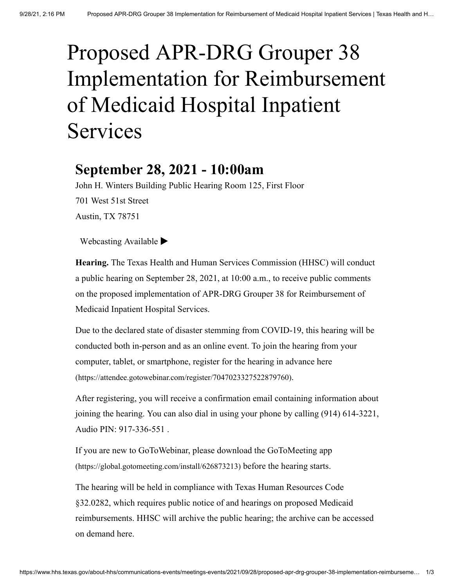# Proposed APR-DRG Grouper 38 Implementation for Reimbursement of Medicaid Hospital Inpatient Services

# **September 28, 2021 - 10:00am**

John H. Winters Building Public Hearing Room 125, First Floor 701 West 51st Street Austin, TX 78751

[Webcasting Available](https://www.hhs.texas.gov/about-hhs/communications-events/live-archived-meetings)  $\blacktriangleright$ 

**Hearing.** The Texas Health and Human Services Commission (HHSC) will conduct a public hearing on September 28, 2021, at 10:00 a.m., to receive public comments on the proposed implementation of APR-DRG Grouper 38 for Reimbursement of Medicaid Inpatient Hospital Services.

Due to the declared state of disaster stemming from COVID-19, this hearing will be conducted both in-person and as an online event. To join the hearing from your [computer, tablet, or smartphone, register for the hearing in advance here](https://attendee.gotowebinar.com/register/7047023327522879760) (https://attendee.gotowebinar.com/register/7047023327522879760).

After registering, you will receive a confirmation email containing information about joining the hearing. You can also dial in using your phone by calling (914) 614-3221, Audio PIN: 917-336-551 .

[If you are new to GoToWebinar, please download the GoToMeeting app](https://global.gotomeeting.com/install/626873213) (https://global.gotomeeting.com/install/626873213) before the hearing starts.

The hearing will be held in compliance with Texas Human Resources Code §32.0282, which requires public notice of and hearings on proposed Medicaid [reimbursements. HHSC will archive the public hearing; the archive can be accessed](https://www.hhs.texas.gov/about-hhs/communications-events/live-archived-meetings) on demand here.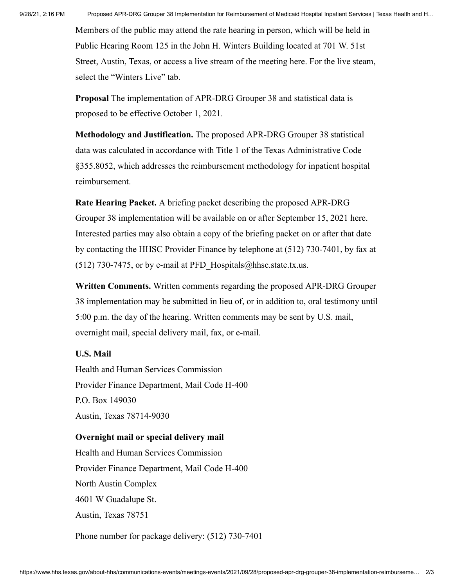Members of the public may attend the rate hearing in person, which will be held in Public Hearing Room 125 in the John H. Winters Building located at 701 W. 51st Street, Austin, Texas, or [access a live stream of the meeting here.](https://www.hhs.texas.gov/about-hhs/communications-events/live-archived-meetings) For the live steam, select the "Winters Live" tab.

**Proposal** The implementation of APR-DRG Grouper 38 and statistical data is proposed to be effective October 1, 2021.

**Methodology and Justification.** The proposed APR-DRG Grouper 38 statistical data was calculated in accordance with Title 1 of the Texas Administrative Code §355.8052, which addresses the reimbursement methodology for inpatient hospital reimbursement.

**Rate Hearing Packet.** A briefing packet describing the proposed APR-DRG [Grouper 38 implementation will be available on or after September 15, 2021 here](https://pfd.hhs.texas.gov/proposed-rate-packets). Interested parties may also obtain a copy of the briefing packet on or after that date by contacting the HHSC Provider Finance by telephone at (512) 730-7401, by fax at (512) 730-7475, or by e-mail at PFD Hospitals@hhsc.state.tx.us.

**Written Comments.** Written comments regarding the proposed APR-DRG Grouper 38 implementation may be submitted in lieu of, or in addition to, oral testimony until 5:00 p.m. the day of the hearing. Written comments may be sent by U.S. mail, overnight mail, special delivery mail, fax, or e-mail.

### **U.S. Mail**

Health and Human Services Commission Provider Finance Department, Mail Code H-400 P.O. Box 149030 Austin, Texas 78714-9030

#### **Overnight mail or special delivery mail**

Health and Human Services Commission Provider Finance Department, Mail Code H-400 North Austin Complex 4601 W Guadalupe St. Austin, Texas 78751

Phone number for package delivery: (512) 730-7401